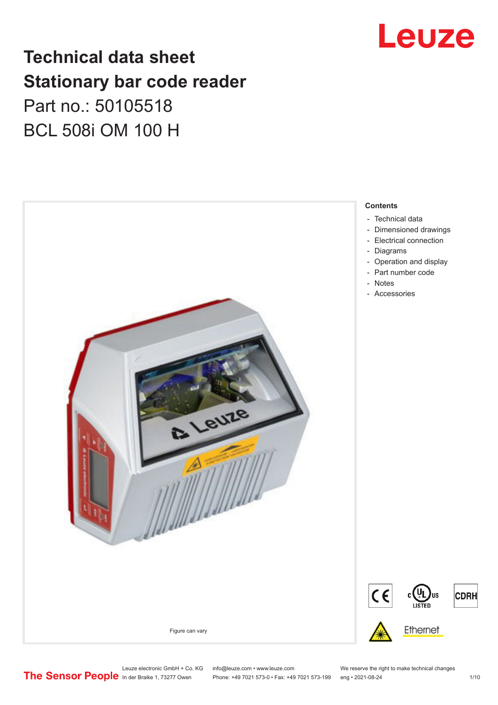# Leuze

## **Technical data sheet Stationary bar code reader** Part no.: 50105518 BCL 508i OM 100 H



Leuze electronic GmbH + Co. KG info@leuze.com • www.leuze.com We reserve the right to make technical changes<br>
The Sensor People in der Braike 1, 73277 Owen Phone: +49 7021 573-0 • Fax: +49 7021 573-199 eng • 2021-08-24

Phone: +49 7021 573-0 • Fax: +49 7021 573-199 eng • 2021-08-24 1 1 10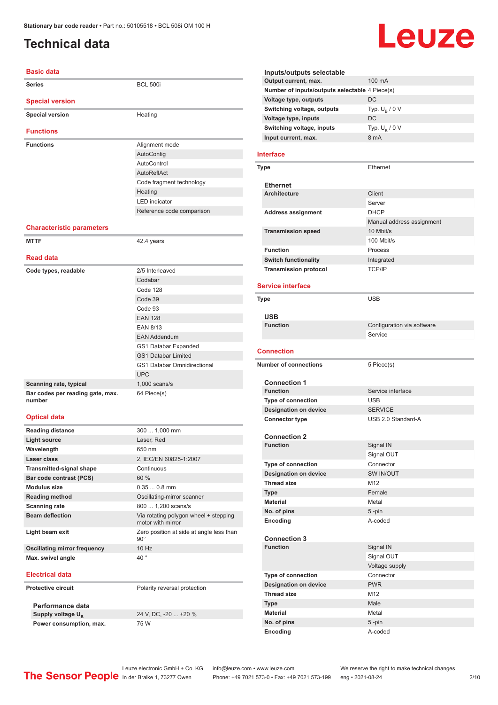## <span id="page-1-0"></span>**Technical data**

### **Basic data**

| Paon, uata                                 |                                    |
|--------------------------------------------|------------------------------------|
| <b>Series</b>                              | <b>BCL 500i</b>                    |
| <b>Special version</b>                     |                                    |
| <b>Special version</b>                     | Heating                            |
| <b>Functions</b>                           |                                    |
|                                            |                                    |
| <b>Functions</b>                           | Alignment mode                     |
|                                            | AutoConfig                         |
|                                            | AutoControl                        |
|                                            | AutoReflAct                        |
|                                            | Code fragment technology           |
|                                            | Heating                            |
|                                            | <b>LED</b> indicator               |
|                                            | Reference code comparison          |
| <b>Characteristic parameters</b>           |                                    |
| <b>MTTF</b>                                | 42.4 years                         |
| <b>Read data</b>                           |                                    |
| Code types, readable                       | 2/5 Interleaved                    |
|                                            | Codabar                            |
|                                            | Code 128                           |
|                                            | Code 39                            |
|                                            | Code 93                            |
|                                            | <b>EAN 128</b>                     |
|                                            | <b>EAN 8/13</b>                    |
|                                            | <b>EAN Addendum</b>                |
|                                            | GS1 Databar Expanded               |
|                                            | <b>GS1 Databar Limited</b>         |
|                                            | <b>GS1 Databar Omnidirectional</b> |
|                                            | <b>UPC</b>                         |
| Scanning rate, typical                     | $1,000$ scans/s                    |
| Bar codes per reading gate, max.<br>number | 64 Piece(s)                        |
| <b>Optical data</b>                        |                                    |
| <b>Reading distance</b>                    | 300  1,000 mm                      |
| <b>Light source</b>                        | Laser, Red                         |
| Wavelength                                 | 650 nm                             |
| Laser class                                | 2, IEC/EN 60825-1:2007             |
| <b>Transmitted-signal shape</b>            | Continuous                         |
| Bar code contrast (PCS)                    | 60 %                               |
| <b>Modulus size</b>                        | $0.350.8$ mm                       |
| Reading method                             | Oscillating-mirror scanner         |

| <b>Reading distance</b>             | 300  1,000 mm                                              |
|-------------------------------------|------------------------------------------------------------|
| <b>Light source</b>                 | Laser, Red                                                 |
| Wavelength                          | 650 nm                                                     |
| Laser class                         | 2, IEC/EN 60825-1:2007                                     |
| <b>Transmitted-signal shape</b>     | Continuous                                                 |
| Bar code contrast (PCS)             | 60 %                                                       |
| <b>Modulus size</b>                 | $0.350.8$ mm                                               |
| <b>Reading method</b>               | Oscillating-mirror scanner                                 |
| <b>Scanning rate</b>                | 800  1,200 scans/s                                         |
| <b>Beam deflection</b>              | Via rotating polygon wheel + stepping<br>motor with mirror |
| Light beam exit                     | Zero position at side at angle less than<br>$90^{\circ}$   |
| <b>Oscillating mirror frequency</b> | 10 Hz                                                      |
| Max. swivel angle                   | $40^{\circ}$                                               |
| <b>Electrical data</b>              |                                                            |
| <b>Protective circuit</b>           | Polarity reversal protection                               |

**Performance data** Supply voltage  $U_B$ **Power consumption, max.** 75 W

24 V, DC, -20 ... +20 %

### **Inputs/outputs selectable Output current, max.** 100 mA **Number of inputs/outputs selectable** 4 Piece(s) **Voltage type, outputs** DC **Switching voltage, outputs** Typ.<br>Voltage type, inputs DC Typ.  $U_B / 0 V$ **Voltage type, inputs Switching voltage, inputs** Typ. Unit Ultrain Typ. Unit Ultrain Typ. Unit Typ.  $U_B / 0 V$ **Input current, max.**

Leuze

### **Interface**

| <b>Type</b>                  | Ethernet                  |
|------------------------------|---------------------------|
| <b>Ethernet</b>              |                           |
| <b>Architecture</b>          | Client                    |
|                              | Server                    |
| <b>Address assignment</b>    | <b>DHCP</b>               |
|                              | Manual address assignment |
| <b>Transmission speed</b>    | 10 Mbit/s                 |
|                              | 100 Mbit/s                |
| <b>Function</b>              | Process                   |
| <b>Switch functionality</b>  | Integrated                |
| <b>Transmission protocol</b> | <b>TCP/IP</b>             |

### **Service interface**

| <b>Type</b>                  | <b>USB</b>                 |
|------------------------------|----------------------------|
| <b>USB</b>                   |                            |
| <b>Function</b>              | Configuration via software |
|                              | Service                    |
| <b>Connection</b>            |                            |
| <b>Number of connections</b> | 5 Piece(s)                 |
| <b>Connection 1</b>          |                            |
| <b>Function</b>              | Service interface          |
| <b>Type of connection</b>    | <b>USB</b>                 |
| <b>Designation on device</b> | <b>SERVICE</b>             |
| <b>Connector type</b>        | USB 2.0 Standard-A         |
|                              |                            |
| <b>Connection 2</b>          |                            |
| <b>Function</b>              | Signal IN                  |
|                              | Signal OUT                 |
| <b>Type of connection</b>    | Connector                  |
| <b>Designation on device</b> | SW IN/OUT                  |
| <b>Thread size</b>           | M <sub>12</sub>            |
| <b>Type</b>                  | Female                     |
| <b>Material</b>              | Metal                      |
| No. of pins                  | $5 - pin$                  |
| Encoding                     | A-coded                    |
|                              |                            |
| <b>Connection 3</b>          |                            |
| <b>Function</b>              | Signal IN                  |
|                              | Signal OUT                 |
|                              | Voltage supply             |
| <b>Type of connection</b>    | Connector                  |
| <b>Designation on device</b> | <b>PWR</b>                 |
| <b>Thread size</b>           | M <sub>12</sub>            |
| <b>Type</b>                  | Male                       |
| <b>Material</b>              | Metal                      |
| No. of pins                  | 5-pin                      |
| Encoding                     | A-coded                    |

Leuze electronic GmbH + Co. KG info@leuze.com • www.leuze.com We reserve the right to make technical changes<br>
The Sensor People in der Braike 1, 73277 Owen Phone: +49 7021 573-0 • Fax: +49 7021 573-199 eng • 2021-08-24

Phone: +49 7021 573-0 • Fax: +49 7021 573-199 eng • 2021-08-24 2 /10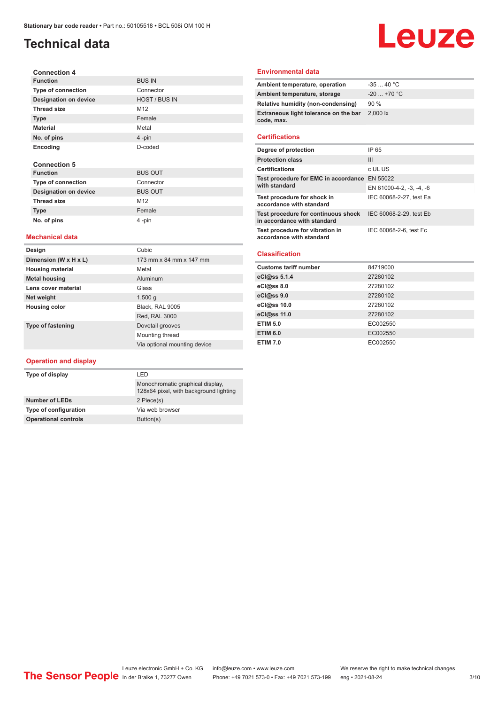## **Technical data**

### **Connection 4 Function** BUS IN **Type of connection** Connector **Designation on device** HOST / BUS IN **Thread size** M12 **Type** Female **Material** Metal **No. of pins** 4 -pin **Encoding** D-coded **Connection 5 Function** BUS OUT **Type of connection** Connector **Designation on device** BUS OUT Thread size M12

### **Mechanical data**

**Type Female No. of pins** 4 -pin

| Design                   | Cubic                        |
|--------------------------|------------------------------|
| Dimension (W x H x L)    | 173 mm x 84 mm x 147 mm      |
| <b>Housing material</b>  | Metal                        |
| <b>Metal housing</b>     | Aluminum                     |
| Lens cover material      | Glass                        |
| Net weight               | 1,500q                       |
| <b>Housing color</b>     | Black, RAL 9005              |
|                          | Red, RAL 3000                |
| <b>Type of fastening</b> | Dovetail grooves             |
|                          | Mounting thread              |
|                          | Via optional mounting device |

### **Operation and display**

| I FD                                                                       |
|----------------------------------------------------------------------------|
| Monochromatic graphical display.<br>128x64 pixel, with background lighting |
| 2 Piece(s)                                                                 |
| Via web browser                                                            |
| Button(s)                                                                  |
|                                                                            |

### **Environmental data**

| Ambient temperature, operation                      | $-3540 °C$         |
|-----------------------------------------------------|--------------------|
| Ambient temperature, storage                        | $-20$ +70 °C       |
| Relative humidity (non-condensing)                  | 90%                |
| Extraneous light tolerance on the bar<br>code, max. | $2.000 \text{ lx}$ |
|                                                     |                    |

Leuze

### **Certifications**

| Degree of protection                                               | IP 65                    |
|--------------------------------------------------------------------|--------------------------|
| <b>Protection class</b>                                            | Ш                        |
| <b>Certifications</b>                                              | c UL US                  |
| Test procedure for EMC in accordance EN 55022<br>with standard     |                          |
|                                                                    | EN 61000-4-2, -3, -4, -6 |
| Test procedure for shock in<br>accordance with standard            | IEC 60068-2-27, test Ea  |
| Test procedure for continuous shock<br>in accordance with standard | IEC 60068-2-29, test Eb  |
| Test procedure for vibration in<br>accordance with standard        | IEC 60068-2-6, test Fc   |

### **Classification**

| <b>Customs tariff number</b> | 84719000 |
|------------------------------|----------|
| eCl@ss 5.1.4                 | 27280102 |
| eCl@ss 8.0                   | 27280102 |
| eCl@ss 9.0                   | 27280102 |
| eCl@ss 10.0                  | 27280102 |
| eCl@ss 11.0                  | 27280102 |
| <b>ETIM 5.0</b>              | EC002550 |
| <b>ETIM 6.0</b>              | EC002550 |
| <b>ETIM 7.0</b>              | EC002550 |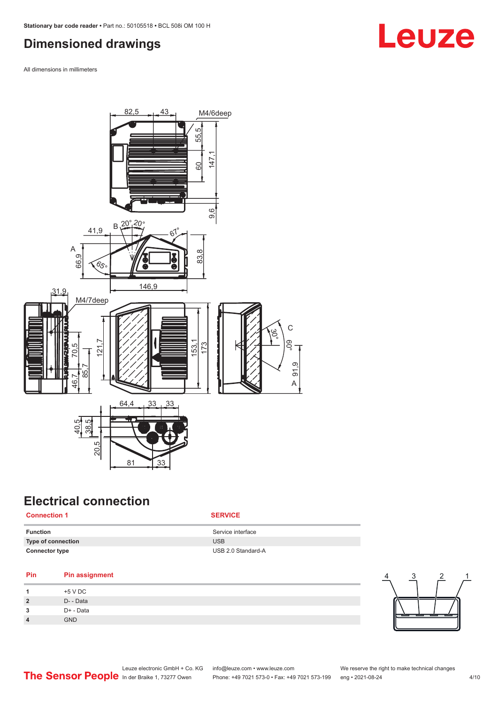## <span id="page-3-0"></span>**Dimensioned drawings**

All dimensions in millimeters



## **Electrical connection**

### **Connection 1 SERVICE**

| <b>Function</b>       | Service interface  |
|-----------------------|--------------------|
| Type of connection    | <b>USB</b>         |
| <b>Connector type</b> | USB 2.0 Standard-A |

### **Pin Pin assignment**

| +5 V DC    |
|------------|
| D- - Data  |
| D+ - Data  |
| <b>GND</b> |
|            |



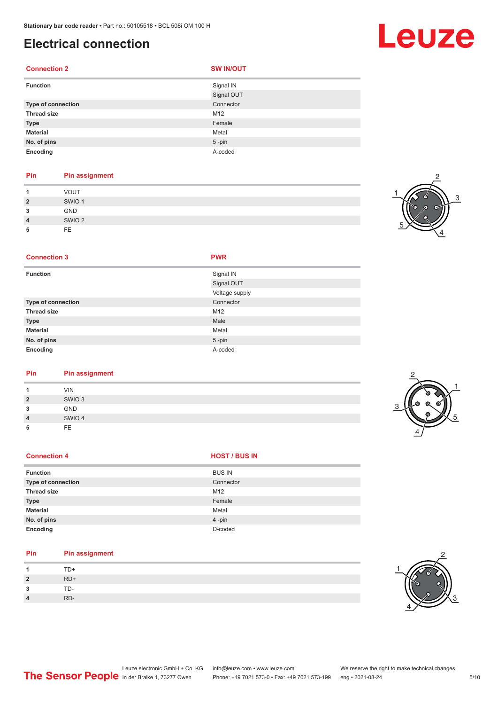## **Electrical connection**

### **Connection 2 SW IN/OUT**

| <b>Function</b>           | Signal IN  |
|---------------------------|------------|
|                           | Signal OUT |
| <b>Type of connection</b> | Connector  |
| <b>Thread size</b>        | M12        |
| <b>Type</b>               | Female     |
| <b>Material</b>           | Metal      |
| No. of pins               | $5 - pin$  |
| Encoding                  | A-coded    |

### **Pin Pin assignment**

|                | <b>VOUT</b>       |
|----------------|-------------------|
| $\overline{2}$ | SWIO <sub>1</sub> |
| 3              | <b>GND</b>        |
| $\overline{4}$ | SWIO <sub>2</sub> |
| 5              | FE.               |



### **Connection 3 PWR**

| <b>Function</b>           | Signal IN      |
|---------------------------|----------------|
|                           | Signal OUT     |
|                           | Voltage supply |
| <b>Type of connection</b> | Connector      |
| <b>Thread size</b>        | M12            |
| <b>Type</b>               | Male           |
| <b>Material</b>           | Metal          |
| No. of pins               | $5$ -pin       |
| Encoding                  | A-coded        |

### **Pin Pin assignment**

|                | <b>VIN</b>        |  |  |
|----------------|-------------------|--|--|
| $\overline{2}$ | SWIO <sub>3</sub> |  |  |
| 3              | GND               |  |  |
| $\overline{4}$ | SWIO 4            |  |  |
| 5              | FE                |  |  |
|                |                   |  |  |



| <b>Function</b>    | <b>BUS IN</b> |
|--------------------|---------------|
| Type of connection | Connector     |
| <b>Thread size</b> | M12           |
| <b>Type</b>        | Female        |
| <b>Material</b>    | Metal         |
| No. of pins        | 4-pin         |
| Encoding           | D-coded       |

### **Pin Pin assignment**

| $\boldsymbol{A}$     | TD+   |
|----------------------|-------|
| $\overline{2}$       | $RD+$ |
| $\overline{ }$<br>ر. | TD-   |
| $\overline{4}$       | RD-   |



## Leuze

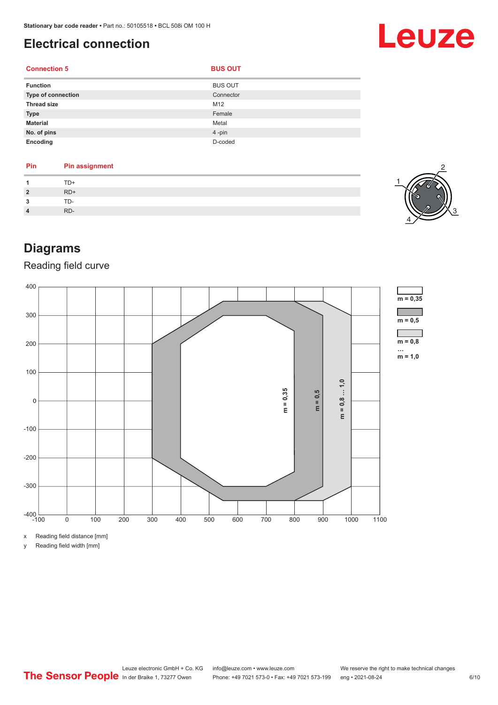**Connection 5 BUS OUT** 

## <span id="page-5-0"></span>**Electrical connection**

### **Function** BUS OUT **Type of connection** Connection Connector Connector **Thread size** M12 **Type** Female **Material** Metal **No. of pins** 4 -pin **Encoding** D-coded

| Pin    | <b>Pin assignment</b> |
|--------|-----------------------|
|        | $TD+$                 |
|        | $RD+$                 |
| っ<br>u | TD-                   |
|        | RD-                   |
|        |                       |



## **Diagrams**

## Reading field curve



x Reading field distance [mm]

y Reading field width [mm]



# Leuze

Leuze electronic GmbH + Co. KG info@leuze.com • www.leuze.com We reserve the right to make technical changes In der Braike 1, 73277 Owen Phone: +49 7021 573-0 • Fax: +49 7021 573-199 eng • 2021-08-24 6 /10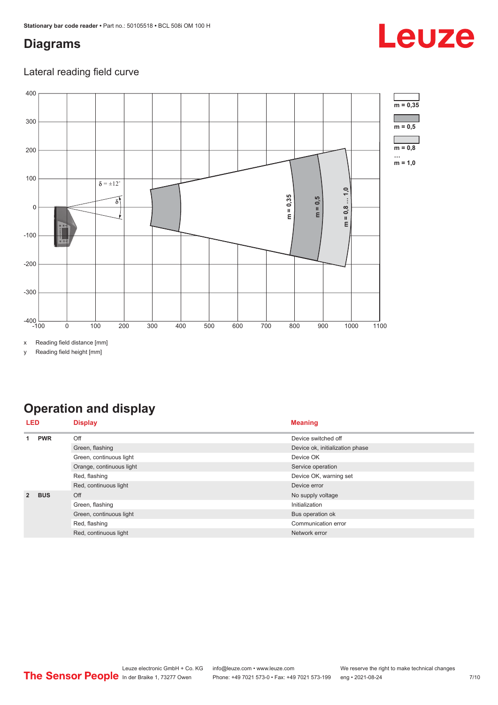## <span id="page-6-0"></span>**Diagrams**

### Lateral reading field curve



x Reading field distance [mm]

y Reading field height [mm]

## **Operation and display**

| LED         |            | <b>Display</b>           | <b>Meaning</b>                  |
|-------------|------------|--------------------------|---------------------------------|
| <b>PWR</b>  | Off        | Device switched off      |                                 |
|             |            | Green, flashing          | Device ok, initialization phase |
|             |            | Green, continuous light  | Device OK                       |
|             |            | Orange, continuous light | Service operation               |
|             |            | Red, flashing            | Device OK, warning set          |
|             |            | Red, continuous light    | Device error                    |
| $2^{\circ}$ | <b>BUS</b> | Off                      | No supply voltage               |
|             |            | Green, flashing          | Initialization                  |
|             |            | Green, continuous light  | Bus operation ok                |
|             |            | Red, flashing            | Communication error             |
|             |            | Red, continuous light    | Network error                   |

# Leuze

π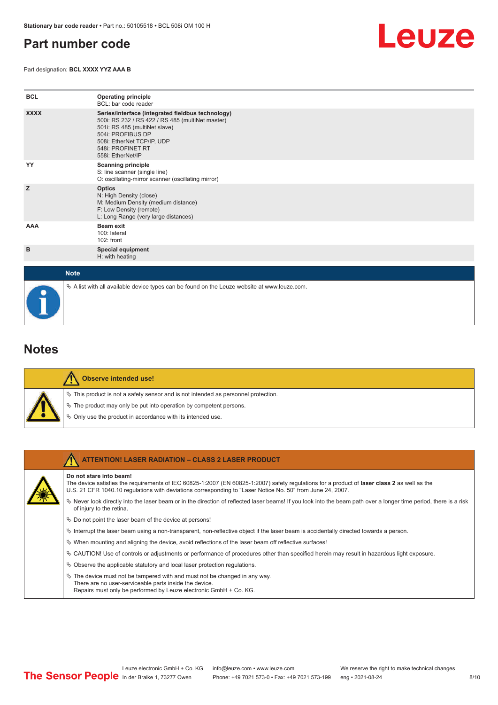## <span id="page-7-0"></span>**Part number code**

Part designation: **BCL XXXX YYZ AAA B**

![](_page_7_Picture_3.jpeg)

| <b>BCL</b>  | <b>Operating principle</b><br>BCL: bar code reader                                                                                                                                                                                  |
|-------------|-------------------------------------------------------------------------------------------------------------------------------------------------------------------------------------------------------------------------------------|
| <b>XXXX</b> | Series/interface (integrated fieldbus technology)<br>500i: RS 232 / RS 422 / RS 485 (multiNet master)<br>501i: RS 485 (multiNet slave)<br>504i: PROFIBUS DP<br>508i: EtherNet TCP/IP, UDP<br>548i: PROFINET RT<br>558i: EtherNet/IP |
| YY          | <b>Scanning principle</b><br>S: line scanner (single line)<br>O: oscillating-mirror scanner (oscillating mirror)                                                                                                                    |
| z           | <b>Optics</b><br>N: High Density (close)<br>M: Medium Density (medium distance)<br>F: Low Density (remote)<br>L: Long Range (very large distances)                                                                                  |
| <b>AAA</b>  | <b>Beam exit</b><br>100: lateral<br>$102:$ front                                                                                                                                                                                    |
| в           | <b>Special equipment</b><br>H: with heating                                                                                                                                                                                         |
| <b>Note</b> |                                                                                                                                                                                                                                     |

 $\%$  A list with all available device types can be found on the Leuze website at www.leuze.com.

### **Notes**

|  | Observe intended use!                                                                 |
|--|---------------------------------------------------------------------------------------|
|  | $\%$ This product is not a safety sensor and is not intended as personnel protection. |
|  | $\%$ The product may only be put into operation by competent persons.                 |
|  | § Only use the product in accordance with its intended use.                           |

| <b>ATTENTION! LASER RADIATION - CLASS 2 LASER PRODUCT</b>                                                                                                                                                                                                                             |
|---------------------------------------------------------------------------------------------------------------------------------------------------------------------------------------------------------------------------------------------------------------------------------------|
| Do not stare into beam!<br>The device satisfies the requirements of IEC 60825-1:2007 (EN 60825-1:2007) safety requlations for a product of laser class 2 as well as the<br>U.S. 21 CFR 1040.10 requlations with deviations corresponding to "Laser Notice No. 50" from June 24, 2007. |
| Never look directly into the laser beam or in the direction of reflected laser beams! If you look into the beam path over a longer time period, there is a risk<br>of injury to the retina.                                                                                           |
| $\%$ Do not point the laser beam of the device at persons!                                                                                                                                                                                                                            |
| Interrupt the laser beam using a non-transparent, non-reflective object if the laser beam is accidentally directed towards a person.                                                                                                                                                  |
| $\%$ When mounting and aligning the device, avoid reflections of the laser beam off reflective surfaces!                                                                                                                                                                              |
| $\%$ CAUTION! Use of controls or adjustments or performance of procedures other than specified herein may result in hazardous light exposure.                                                                                                                                         |
| $\%$ Observe the applicable statutory and local laser protection regulations.                                                                                                                                                                                                         |
| $\ddot{\varphi}$ The device must not be tampered with and must not be changed in any way.<br>There are no user-serviceable parts inside the device.<br>Repairs must only be performed by Leuze electronic GmbH + Co. KG.                                                              |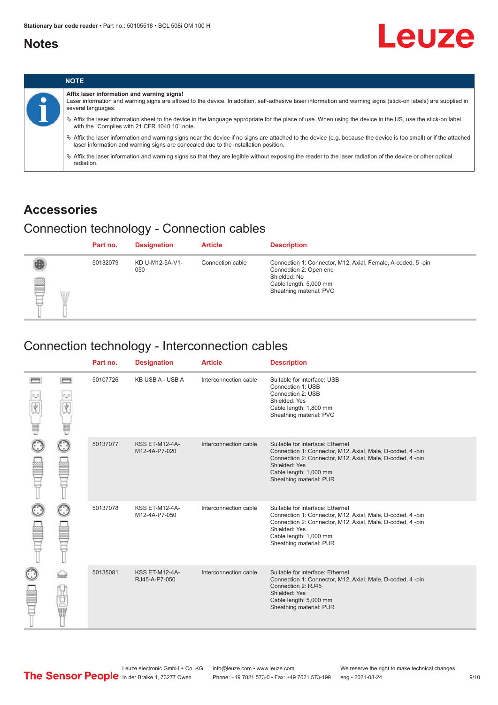## <span id="page-8-0"></span>**Notes**

![](_page_8_Picture_2.jpeg)

![](_page_8_Picture_3.jpeg)

## **Accessories**

## Connection technology - Connection cables

|        | Part no. | <b>Designation</b>     | <b>Article</b>   | <b>Description</b>                                                                                                                                         |
|--------|----------|------------------------|------------------|------------------------------------------------------------------------------------------------------------------------------------------------------------|
| ₿<br>W | 50132079 | KD U-M12-5A-V1-<br>050 | Connection cable | Connection 1: Connector, M12, Axial, Female, A-coded, 5-pin<br>Connection 2: Open end<br>Shielded: No<br>Cable length: 5,000 mm<br>Sheathing material: PVC |

## Connection technology - Interconnection cables

|   |                   | Part no. | <b>Designation</b>                     | <b>Article</b>        | <b>Description</b>                                                                                                                                                                                                               |
|---|-------------------|----------|----------------------------------------|-----------------------|----------------------------------------------------------------------------------------------------------------------------------------------------------------------------------------------------------------------------------|
| U | <b>books</b><br>Ý | 50107726 | KB USB A - USB A                       | Interconnection cable | Suitable for interface: USB<br>Connection 1: USB<br>Connection 2: USB<br>Shielded: Yes<br>Cable length: 1,800 mm<br>Sheathing material: PVC                                                                                      |
|   |                   | 50137077 | <b>KSS ET-M12-4A-</b><br>M12-4A-P7-020 | Interconnection cable | Suitable for interface: Ethernet<br>Connection 1: Connector, M12, Axial, Male, D-coded, 4-pin<br>Connection 2: Connector, M12, Axial, Male, D-coded, 4-pin<br>Shielded: Yes<br>Cable length: 1,000 mm<br>Sheathing material: PUR |
|   |                   | 50137078 | <b>KSS ET-M12-4A-</b><br>M12-4A-P7-050 | Interconnection cable | Suitable for interface: Ethernet<br>Connection 1: Connector, M12, Axial, Male, D-coded, 4-pin<br>Connection 2: Connector, M12, Axial, Male, D-coded, 4-pin<br>Shielded: Yes<br>Cable length: 1,000 mm<br>Sheathing material: PUR |
|   | 世軍                | 50135081 | <b>KSS ET-M12-4A-</b><br>RJ45-A-P7-050 | Interconnection cable | Suitable for interface: Ethernet<br>Connection 1: Connector, M12, Axial, Male, D-coded, 4-pin<br>Connection 2: RJ45<br>Shielded: Yes<br>Cable length: 5,000 mm<br>Sheathing material: PUR                                        |